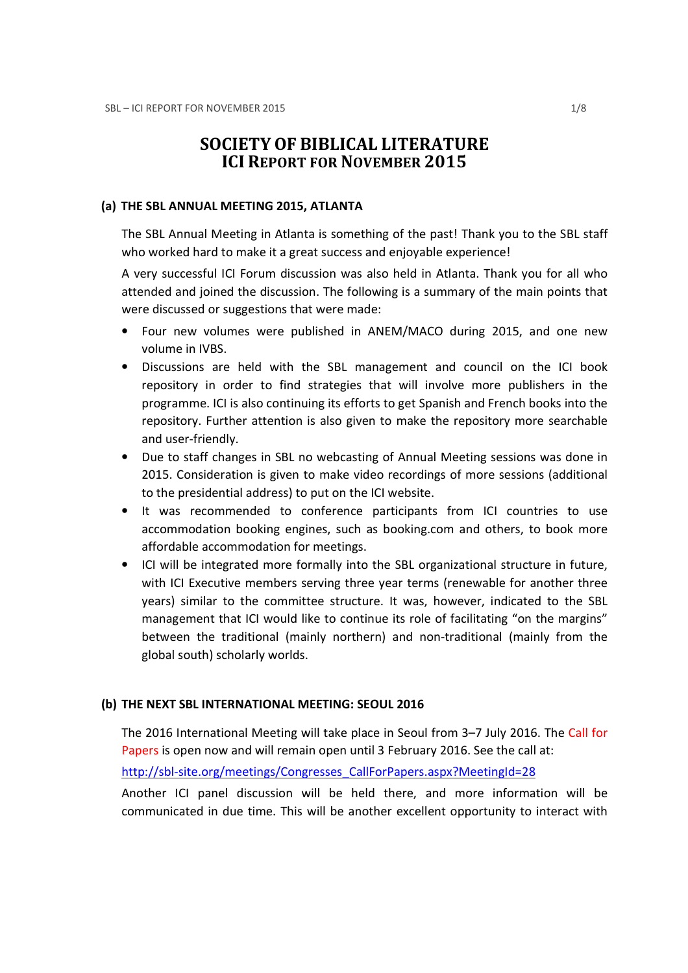# SOCIETY OF BIBLICAL LITERATURE ICI REPORT FOR NOVEMBER 2015

#### (a) THE SBL ANNUAL MEETING 2015, ATLANTA

The SBL Annual Meeting in Atlanta is something of the past! Thank you to the SBL staff who worked hard to make it a great success and enjoyable experience!

A very successful ICI Forum discussion was also held in Atlanta. Thank you for all who attended and joined the discussion. The following is a summary of the main points that were discussed or suggestions that were made:

- Four new volumes were published in ANEM/MACO during 2015, and one new volume in IVBS.
- Discussions are held with the SBL management and council on the ICI book repository in order to find strategies that will involve more publishers in the programme. ICI is also continuing its efforts to get Spanish and French books into the repository. Further attention is also given to make the repository more searchable and user-friendly.
- Due to staff changes in SBL no webcasting of Annual Meeting sessions was done in 2015. Consideration is given to make video recordings of more sessions (additional to the presidential address) to put on the ICI website.
- It was recommended to conference participants from ICI countries to use accommodation booking engines, such as booking.com and others, to book more affordable accommodation for meetings.
- ICI will be integrated more formally into the SBL organizational structure in future, with ICI Executive members serving three year terms (renewable for another three years) similar to the committee structure. It was, however, indicated to the SBL management that ICI would like to continue its role of facilitating "on the margins" between the traditional (mainly northern) and non-traditional (mainly from the global south) scholarly worlds.

### (b) THE NEXT SBL INTERNATIONAL MEETING: SEOUL 2016

The 2016 International Meeting will take place in Seoul from 3–7 July 2016. The Call for Papers is open now and will remain open until 3 February 2016. See the call at:

http://sbl-site.org/meetings/Congresses\_CallForPapers.aspx?MeetingId=28

Another ICI panel discussion will be held there, and more information will be communicated in due time. This will be another excellent opportunity to interact with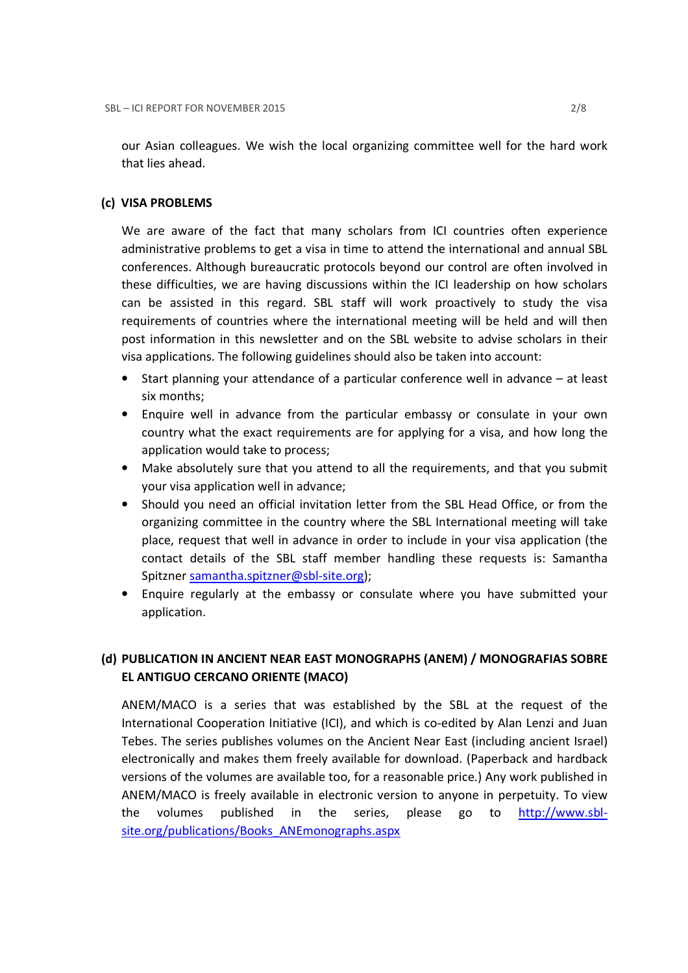our Asian colleagues. We wish the local organizing committee well for the hard work that lies ahead.

## (c) VISA PROBLEMS

We are aware of the fact that many scholars from ICI countries often experience administrative problems to get a visa in time to attend the international and annual SBL conferences. Although bureaucratic protocols beyond our control are often involved in these difficulties, we are having discussions within the ICI leadership on how scholars can be assisted in this regard. SBL staff will work proactively to study the visa requirements of countries where the international meeting will be held and will then post information in this newsletter and on the SBL website to advise scholars in their visa applications. The following guidelines should also be taken into account:

- Start planning your attendance of a particular conference well in advance at least six months;
- Enquire well in advance from the particular embassy or consulate in your own country what the exact requirements are for applying for a visa, and how long the application would take to process;
- Make absolutely sure that you attend to all the requirements, and that you submit your visa application well in advance;
- Should you need an official invitation letter from the SBL Head Office, or from the organizing committee in the country where the SBL International meeting will take place, request that well in advance in order to include in your visa application (the contact details of the SBL staff member handling these requests is: Samantha Spitzner samantha.spitzner@sbl-site.org);
- Enquire regularly at the embassy or consulate where you have submitted your application.

## (d) PUBLICATION IN ANCIENT NEAR EAST MONOGRAPHS (ANEM) / MONOGRAFIAS SOBRE EL ANTIGUO CERCANO ORIENTE (MACO)

ANEM/MACO is a series that was established by the SBL at the request of the International Cooperation Initiative (ICI), and which is co-edited by Alan Lenzi and Juan Tebes. The series publishes volumes on the Ancient Near East (including ancient Israel) electronically and makes them freely available for download. (Paperback and hardback versions of the volumes are available too, for a reasonable price.) Any work published in ANEM/MACO is freely available in electronic version to anyone in perpetuity. To view the volumes published in the series, please go to http://www.sblsite.org/publications/Books\_ANEmonographs.aspx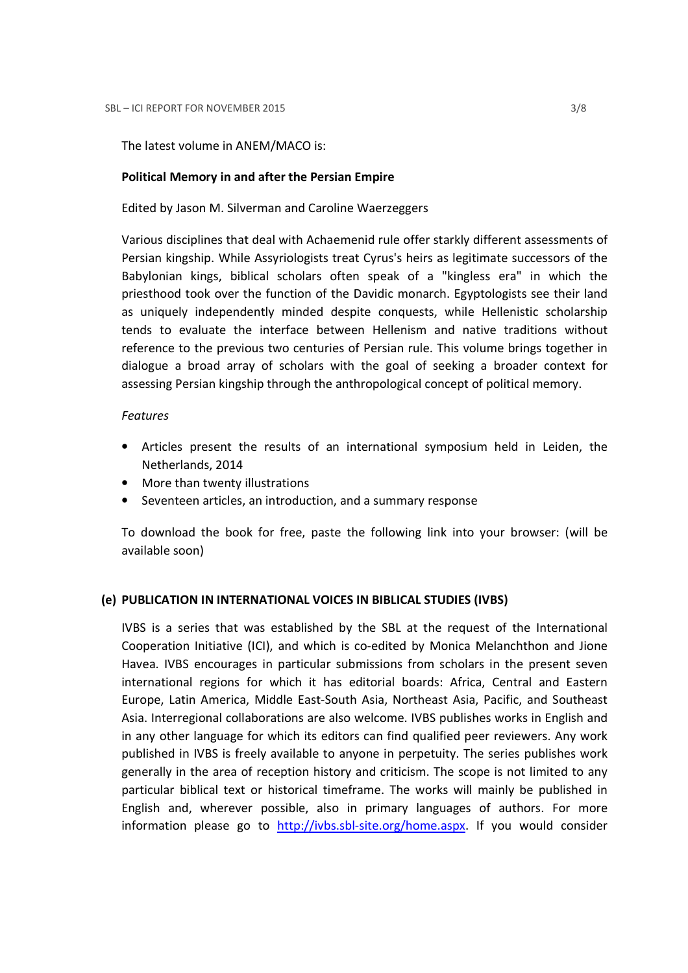#### The latest volume in ANEM/MACO is:

#### Political Memory in and after the Persian Empire

Edited by Jason M. Silverman and Caroline Waerzeggers

Various disciplines that deal with Achaemenid rule offer starkly different assessments of Persian kingship. While Assyriologists treat Cyrus's heirs as legitimate successors of the Babylonian kings, biblical scholars often speak of a "kingless era" in which the priesthood took over the function of the Davidic monarch. Egyptologists see their land as uniquely independently minded despite conquests, while Hellenistic scholarship tends to evaluate the interface between Hellenism and native traditions without reference to the previous two centuries of Persian rule. This volume brings together in dialogue a broad array of scholars with the goal of seeking a broader context for assessing Persian kingship through the anthropological concept of political memory.

#### Features

- Articles present the results of an international symposium held in Leiden, the Netherlands, 2014
- More than twenty illustrations
- Seventeen articles, an introduction, and a summary response

To download the book for free, paste the following link into your browser: (will be available soon)

#### (e) PUBLICATION IN INTERNATIONAL VOICES IN BIBLICAL STUDIES (IVBS)

IVBS is a series that was established by the SBL at the request of the International Cooperation Initiative (ICI), and which is co-edited by Monica Melanchthon and Jione Havea. IVBS encourages in particular submissions from scholars in the present seven international regions for which it has editorial boards: Africa, Central and Eastern Europe, Latin America, Middle East-South Asia, Northeast Asia, Pacific, and Southeast Asia. Interregional collaborations are also welcome. IVBS publishes works in English and in any other language for which its editors can find qualified peer reviewers. Any work published in IVBS is freely available to anyone in perpetuity. The series publishes work generally in the area of reception history and criticism. The scope is not limited to any particular biblical text or historical timeframe. The works will mainly be published in English and, wherever possible, also in primary languages of authors. For more information please go to http://ivbs.sbl-site.org/home.aspx. If you would consider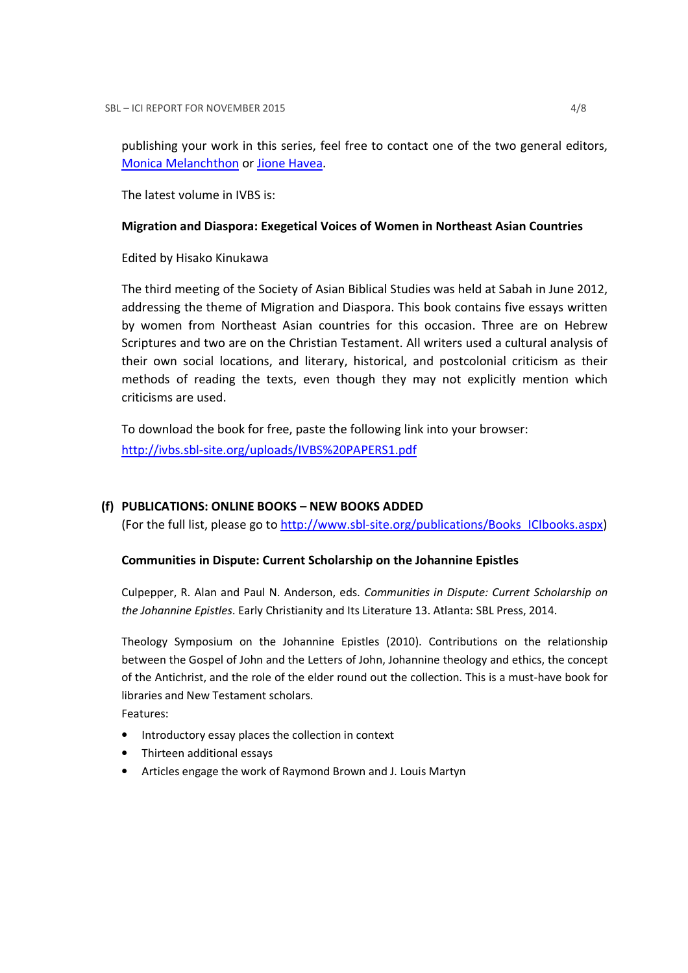publishing your work in this series, feel free to contact one of the two general editors, Monica Melanchthon or Jione Havea.

The latest volume in IVBS is:

## Migration and Diaspora: Exegetical Voices of Women in Northeast Asian Countries

Edited by Hisako Kinukawa

The third meeting of the Society of Asian Biblical Studies was held at Sabah in June 2012, addressing the theme of Migration and Diaspora. This book contains five essays written by women from Northeast Asian countries for this occasion. Three are on Hebrew Scriptures and two are on the Christian Testament. All writers used a cultural analysis of their own social locations, and literary, historical, and postcolonial criticism as their methods of reading the texts, even though they may not explicitly mention which criticisms are used.

To download the book for free, paste the following link into your browser: http://ivbs.sbl-site.org/uploads/IVBS%20PAPERS1.pdf

## (f) PUBLICATIONS: ONLINE BOOKS – NEW BOOKS ADDED

(For the full list, please go to http://www.sbl-site.org/publications/Books\_ICIbooks.aspx)

## Communities in Dispute: Current Scholarship on the Johannine Epistles

Culpepper, R. Alan and Paul N. Anderson, eds. Communities in Dispute: Current Scholarship on the Johannine Epistles. Early Christianity and Its Literature 13. Atlanta: SBL Press, 2014.

Theology Symposium on the Johannine Epistles (2010). Contributions on the relationship between the Gospel of John and the Letters of John, Johannine theology and ethics, the concept of the Antichrist, and the role of the elder round out the collection. This is a must-have book for libraries and New Testament scholars.

Features:

- Introductory essay places the collection in context
- Thirteen additional essays
- Articles engage the work of Raymond Brown and J. Louis Martyn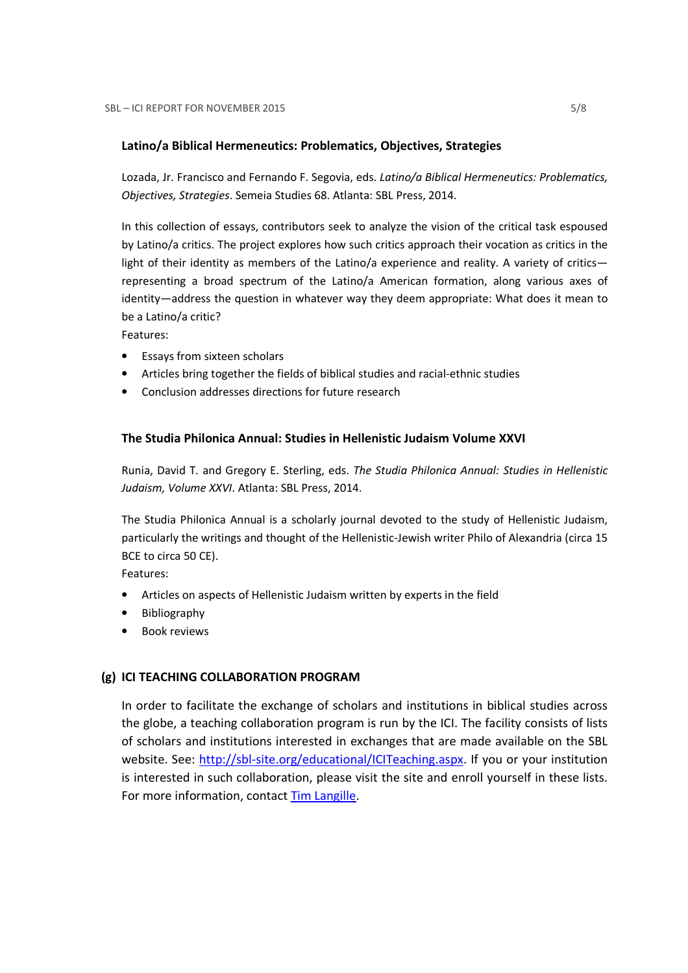## Latino/a Biblical Hermeneutics: Problematics, Objectives, Strategies

Lozada, Jr. Francisco and Fernando F. Segovia, eds. Latino/a Biblical Hermeneutics: Problematics, Objectives, Strategies. Semeia Studies 68. Atlanta: SBL Press, 2014.

In this collection of essays, contributors seek to analyze the vision of the critical task espoused by Latino/a critics. The project explores how such critics approach their vocation as critics in the light of their identity as members of the Latino/a experience and reality. A variety of critics representing a broad spectrum of the Latino/a American formation, along various axes of identity—address the question in whatever way they deem appropriate: What does it mean to be a Latino/a critic?

Features:

- Essays from sixteen scholars
- Articles bring together the fields of biblical studies and racial-ethnic studies
- Conclusion addresses directions for future research

## The Studia Philonica Annual: Studies in Hellenistic Judaism Volume XXVI

Runia, David T. and Gregory E. Sterling, eds. The Studia Philonica Annual: Studies in Hellenistic Judaism, Volume XXVI. Atlanta: SBL Press, 2014.

The Studia Philonica Annual is a scholarly journal devoted to the study of Hellenistic Judaism, particularly the writings and thought of the Hellenistic-Jewish writer Philo of Alexandria (circa 15 BCE to circa 50 CE).

Features:

- Articles on aspects of Hellenistic Judaism written by experts in the field
- Bibliography
- Book reviews

### (g) ICI TEACHING COLLABORATION PROGRAM

In order to facilitate the exchange of scholars and institutions in biblical studies across the globe, a teaching collaboration program is run by the ICI. The facility consists of lists of scholars and institutions interested in exchanges that are made available on the SBL website. See: http://sbl-site.org/educational/ICITeaching.aspx. If you or your institution is interested in such collaboration, please visit the site and enroll yourself in these lists. For more information, contact Tim Langille.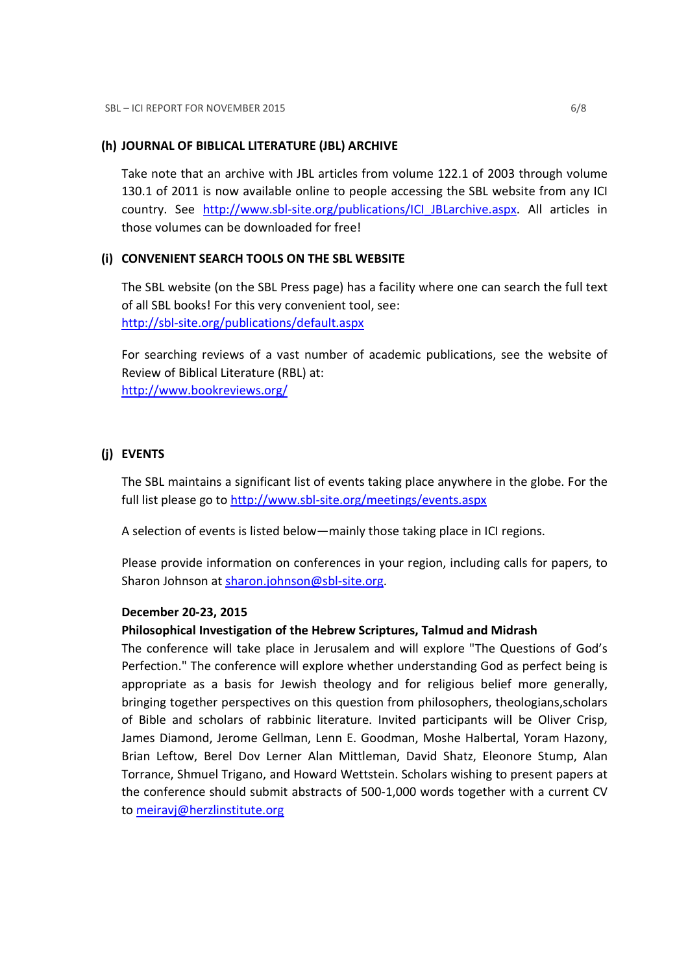## (h) JOURNAL OF BIBLICAL LITERATURE (JBL) ARCHIVE

Take note that an archive with JBL articles from volume 122.1 of 2003 through volume 130.1 of 2011 is now available online to people accessing the SBL website from any ICI country. See http://www.sbl-site.org/publications/ICI\_JBLarchive.aspx. All articles in those volumes can be downloaded for free!

## (i) CONVENIENT SEARCH TOOLS ON THE SBL WEBSITE

The SBL website (on the SBL Press page) has a facility where one can search the full text of all SBL books! For this very convenient tool, see: http://sbl-site.org/publications/default.aspx

For searching reviews of a vast number of academic publications, see the website of Review of Biblical Literature (RBL) at: http://www.bookreviews.org/

## (j) EVENTS

The SBL maintains a significant list of events taking place anywhere in the globe. For the full list please go to http://www.sbl-site.org/meetings/events.aspx

A selection of events is listed below—mainly those taking place in ICI regions.

Please provide information on conferences in your region, including calls for papers, to Sharon Johnson at sharon.johnson@sbl-site.org.

### December 20-23, 2015

### Philosophical Investigation of the Hebrew Scriptures, Talmud and Midrash

The conference will take place in Jerusalem and will explore "The Questions of God's Perfection." The conference will explore whether understanding God as perfect being is appropriate as a basis for Jewish theology and for religious belief more generally, bringing together perspectives on this question from philosophers, theologians,scholars of Bible and scholars of rabbinic literature. Invited participants will be Oliver Crisp, James Diamond, Jerome Gellman, Lenn E. Goodman, Moshe Halbertal, Yoram Hazony, Brian Leftow, Berel Dov Lerner Alan Mittleman, David Shatz, Eleonore Stump, Alan Torrance, Shmuel Trigano, and Howard Wettstein. Scholars wishing to present papers at the conference should submit abstracts of 500-1,000 words together with a current CV to meiravj@herzlinstitute.org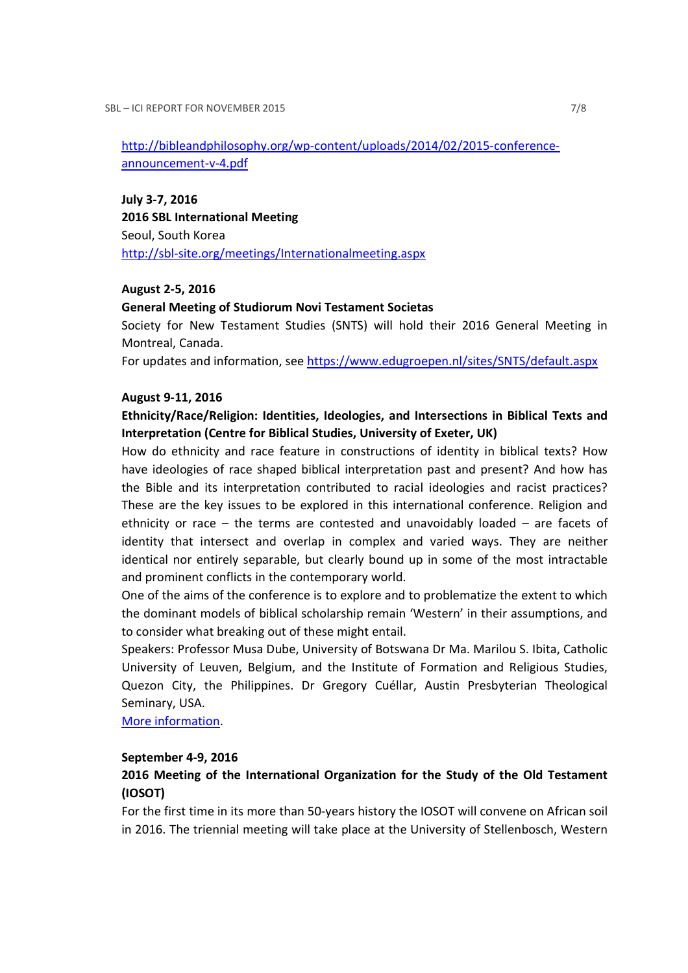http://bibleandphilosophy.org/wp-content/uploads/2014/02/2015-conferenceannouncement-v-4.pdf

July 3-7, 2016 2016 SBL International Meeting Seoul, South Korea http://sbl-site.org/meetings/Internationalmeeting.aspx

### August 2-5, 2016

#### General Meeting of Studiorum Novi Testament Societas

Society for New Testament Studies (SNTS) will hold their 2016 General Meeting in Montreal, Canada.

For updates and information, see https://www.edugroepen.nl/sites/SNTS/default.aspx

#### August 9-11, 2016

Ethnicity/Race/Religion: Identities, Ideologies, and Intersections in Biblical Texts and Interpretation (Centre for Biblical Studies, University of Exeter, UK)

How do ethnicity and race feature in constructions of identity in biblical texts? How have ideologies of race shaped biblical interpretation past and present? And how has the Bible and its interpretation contributed to racial ideologies and racist practices? These are the key issues to be explored in this international conference. Religion and ethnicity or race – the terms are contested and unavoidably loaded – are facets of identity that intersect and overlap in complex and varied ways. They are neither identical nor entirely separable, but clearly bound up in some of the most intractable and prominent conflicts in the contemporary world.

One of the aims of the conference is to explore and to problematize the extent to which the dominant models of biblical scholarship remain 'Western' in their assumptions, and to consider what breaking out of these might entail.

Speakers: Professor Musa Dube, University of Botswana Dr Ma. Marilou S. Ibita, Catholic University of Leuven, Belgium, and the Institute of Formation and Religious Studies, Quezon City, the Philippines. Dr Gregory Cuéllar, Austin Presbyterian Theological Seminary, USA.

More information.

#### September 4-9, 2016

## 2016 Meeting of the International Organization for the Study of the Old Testament (IOSOT)

For the first time in its more than 50-years history the IOSOT will convene on African soil in 2016. The triennial meeting will take place at the University of Stellenbosch, Western